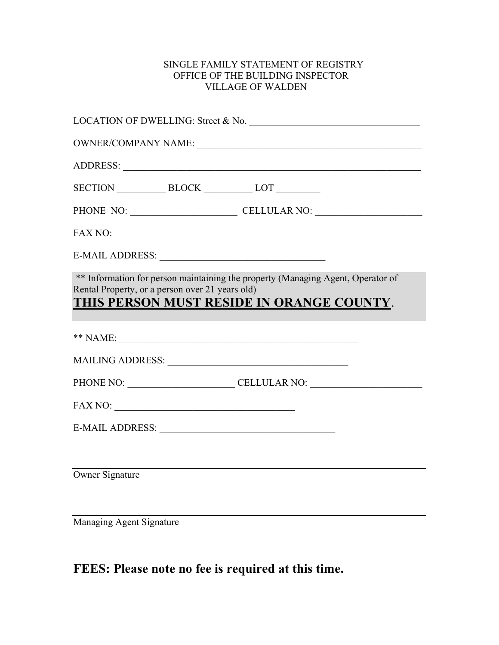## SINGLE FAMILY STATEMENT OF REGISTRY OFFICE OF THE BUILDING INSPECTOR VILLAGE OF WALDEN

| LOCATION OF DWELLING: Street & No.              |  |                                           |                                                                                                                                                                                                                               |
|-------------------------------------------------|--|-------------------------------------------|-------------------------------------------------------------------------------------------------------------------------------------------------------------------------------------------------------------------------------|
|                                                 |  |                                           |                                                                                                                                                                                                                               |
|                                                 |  |                                           |                                                                                                                                                                                                                               |
|                                                 |  | SECTION BLOCK LOT                         |                                                                                                                                                                                                                               |
|                                                 |  |                                           | PHONE NO: CELLULAR NO: CELLULAR NO CELLULAR NO CONFIDENCIAL CELLULAR NO CONFIDENCIAL CELLULAR NO CONFIDENCIAL CELLULAR NO CONFIDENCIAL CELLULAR NO CONFIDENCIAL CELLULAR NO CONFIDENCIAL CELLULAR NO CONFIDENCIAL CELLULAR NO |
|                                                 |  |                                           |                                                                                                                                                                                                                               |
|                                                 |  |                                           |                                                                                                                                                                                                                               |
| Rental Property, or a person over 21 years old) |  | THIS PERSON MUST RESIDE IN ORANGE COUNTY. |                                                                                                                                                                                                                               |
|                                                 |  |                                           |                                                                                                                                                                                                                               |
|                                                 |  |                                           | PHONE NO: CELLULAR NO: CELLULAR NO:                                                                                                                                                                                           |
|                                                 |  |                                           |                                                                                                                                                                                                                               |
|                                                 |  |                                           |                                                                                                                                                                                                                               |
| <b>Owner Signature</b>                          |  |                                           |                                                                                                                                                                                                                               |

Managing Agent Signature

## FEES: Please note no fee is required at this time.